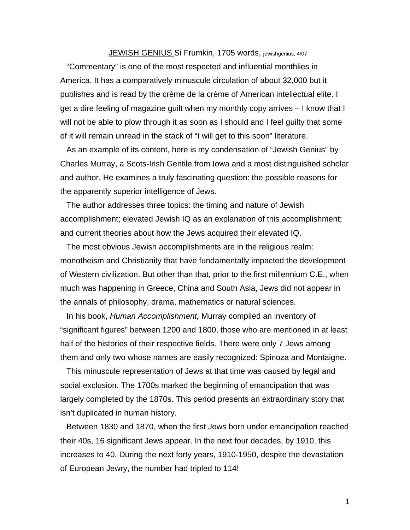## JEWISH GENIUS Si Frumkin, 1705 words, jewishgenius, 4/07

"Commentary" is one of the most respected and influential monthlies in America. It has a comparatively minuscule circulation of about 32,000 but it publishes and is read by the crème de la crème of American intellectual elite. I get a dire feeling of magazine guilt when my monthly copy arrives – I know that I will not be able to plow through it as soon as I should and I feel guilty that some of it will remain unread in the stack of "I will get to this soon" literature.

As an example of its content, here is my condensation of "Jewish Genius" by Charles Murray, a Scots-Irish Gentile from Iowa and a most distinguished scholar and author. He examines a truly fascinating question: the possible reasons for the apparently superior intelligence of Jews.

The author addresses three topics: the timing and nature of Jewish accomplishment; elevated Jewish IQ as an explanation of this accomplishment; and current theories about how the Jews acquired their elevated IQ.

The most obvious Jewish accomplishments are in the religious realm: monotheism and Christianity that have fundamentally impacted the development of Western civilization. But other than that, prior to the first millennium C.E., when much was happening in Greece, China and South Asia, Jews did not appear in the annals of philosophy, drama, mathematics or natural sciences.

In his book, *Human Accomplishment,* Murray compiled an inventory of "significant figures" between 1200 and 1800, those who are mentioned in at least half of the histories of their respective fields. There were only 7 Jews among them and only two whose names are easily recognized: Spinoza and Montaigne.

This minuscule representation of Jews at that time was caused by legal and social exclusion. The 1700s marked the beginning of emancipation that was largely completed by the 1870s. This period presents an extraordinary story that isn't duplicated in human history.

Between 1830 and 1870, when the first Jews born under emancipation reached their 40s, 16 significant Jews appear. In the next four decades, by 1910, this increases to 40. During the next forty years, 1910-1950, despite the devastation of European Jewry, the number had tripled to 114!

1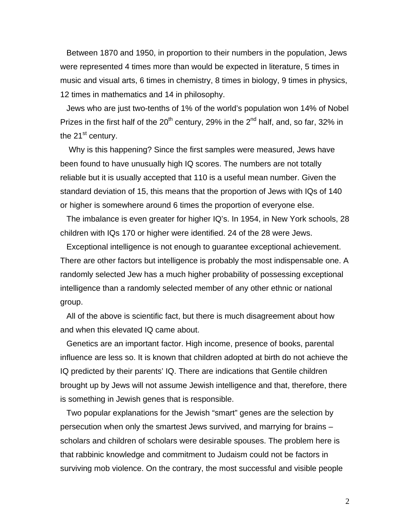Between 1870 and 1950, in proportion to their numbers in the population, Jews were represented 4 times more than would be expected in literature, 5 times in music and visual arts, 6 times in chemistry, 8 times in biology, 9 times in physics, 12 times in mathematics and 14 in philosophy.

Jews who are just two-tenths of 1% of the world's population won 14% of Nobel Prizes in the first half of the  $20^{th}$  century, 29% in the  $2^{nd}$  half, and, so far, 32% in the  $21<sup>st</sup>$  century.

 Why is this happening? Since the first samples were measured, Jews have been found to have unusually high IQ scores. The numbers are not totally reliable but it is usually accepted that 110 is a useful mean number. Given the standard deviation of 15, this means that the proportion of Jews with IQs of 140 or higher is somewhere around 6 times the proportion of everyone else.

The imbalance is even greater for higher IQ's. In 1954, in New York schools, 28 children with IQs 170 or higher were identified. 24 of the 28 were Jews.

Exceptional intelligence is not enough to guarantee exceptional achievement. There are other factors but intelligence is probably the most indispensable one. A randomly selected Jew has a much higher probability of possessing exceptional intelligence than a randomly selected member of any other ethnic or national group.

All of the above is scientific fact, but there is much disagreement about how and when this elevated IQ came about.

Genetics are an important factor. High income, presence of books, parental influence are less so. It is known that children adopted at birth do not achieve the IQ predicted by their parents' IQ. There are indications that Gentile children brought up by Jews will not assume Jewish intelligence and that, therefore, there is something in Jewish genes that is responsible.

Two popular explanations for the Jewish "smart" genes are the selection by persecution when only the smartest Jews survived, and marrying for brains – scholars and children of scholars were desirable spouses. The problem here is that rabbinic knowledge and commitment to Judaism could not be factors in surviving mob violence. On the contrary, the most successful and visible people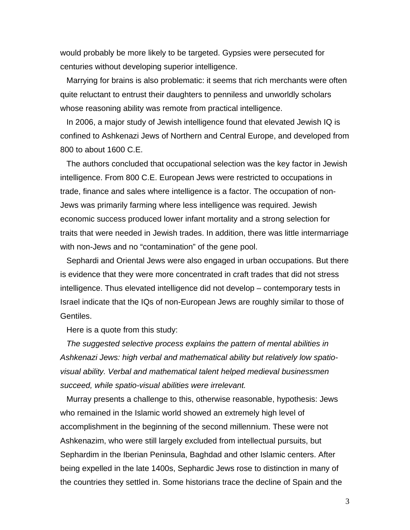would probably be more likely to be targeted. Gypsies were persecuted for centuries without developing superior intelligence.

Marrying for brains is also problematic: it seems that rich merchants were often quite reluctant to entrust their daughters to penniless and unworldly scholars whose reasoning ability was remote from practical intelligence.

In 2006, a major study of Jewish intelligence found that elevated Jewish IQ is confined to Ashkenazi Jews of Northern and Central Europe, and developed from 800 to about 1600 C.E.

The authors concluded that occupational selection was the key factor in Jewish intelligence. From 800 C.E. European Jews were restricted to occupations in trade, finance and sales where intelligence is a factor. The occupation of non-Jews was primarily farming where less intelligence was required. Jewish economic success produced lower infant mortality and a strong selection for traits that were needed in Jewish trades. In addition, there was little intermarriage with non-Jews and no "contamination" of the gene pool.

Sephardi and Oriental Jews were also engaged in urban occupations. But there is evidence that they were more concentrated in craft trades that did not stress intelligence. Thus elevated intelligence did not develop – contemporary tests in Israel indicate that the IQs of non-European Jews are roughly similar to those of Gentiles.

Here is a quote from this study:

*The suggested selective process explains the pattern of mental abilities in Ashkenazi Jews: high verbal and mathematical ability but relatively low spatiovisual ability. Verbal and mathematical talent helped medieval businessmen succeed, while spatio-visual abilities were irrelevant.* 

Murray presents a challenge to this, otherwise reasonable, hypothesis: Jews who remained in the Islamic world showed an extremely high level of accomplishment in the beginning of the second millennium. These were not Ashkenazim, who were still largely excluded from intellectual pursuits, but Sephardim in the Iberian Peninsula, Baghdad and other Islamic centers. After being expelled in the late 1400s, Sephardic Jews rose to distinction in many of the countries they settled in. Some historians trace the decline of Spain and the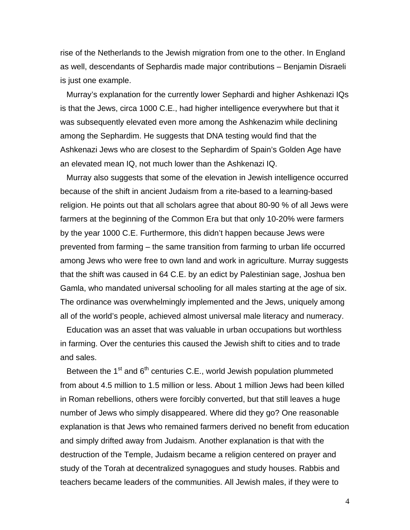rise of the Netherlands to the Jewish migration from one to the other. In England as well, descendants of Sephardis made major contributions – Benjamin Disraeli is just one example.

Murray's explanation for the currently lower Sephardi and higher Ashkenazi IQs is that the Jews, circa 1000 C.E., had higher intelligence everywhere but that it was subsequently elevated even more among the Ashkenazim while declining among the Sephardim. He suggests that DNA testing would find that the Ashkenazi Jews who are closest to the Sephardim of Spain's Golden Age have an elevated mean IQ, not much lower than the Ashkenazi IQ.

Murray also suggests that some of the elevation in Jewish intelligence occurred because of the shift in ancient Judaism from a rite-based to a learning-based religion. He points out that all scholars agree that about 80-90 % of all Jews were farmers at the beginning of the Common Era but that only 10-20% were farmers by the year 1000 C.E. Furthermore, this didn't happen because Jews were prevented from farming – the same transition from farming to urban life occurred among Jews who were free to own land and work in agriculture. Murray suggests that the shift was caused in 64 C.E. by an edict by Palestinian sage, Joshua ben Gamla, who mandated universal schooling for all males starting at the age of six. The ordinance was overwhelmingly implemented and the Jews, uniquely among all of the world's people, achieved almost universal male literacy and numeracy.

Education was an asset that was valuable in urban occupations but worthless in farming. Over the centuries this caused the Jewish shift to cities and to trade and sales.

Between the  $1<sup>st</sup>$  and  $6<sup>th</sup>$  centuries C.E., world Jewish population plummeted from about 4.5 million to 1.5 million or less. About 1 million Jews had been killed in Roman rebellions, others were forcibly converted, but that still leaves a huge number of Jews who simply disappeared. Where did they go? One reasonable explanation is that Jews who remained farmers derived no benefit from education and simply drifted away from Judaism. Another explanation is that with the destruction of the Temple, Judaism became a religion centered on prayer and study of the Torah at decentralized synagogues and study houses. Rabbis and teachers became leaders of the communities. All Jewish males, if they were to

4